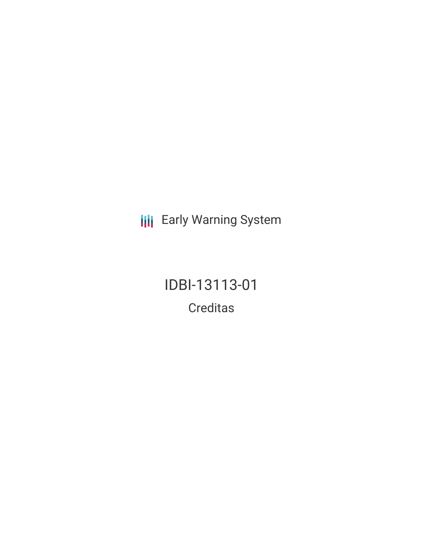**III** Early Warning System

IDBI-13113-01 Creditas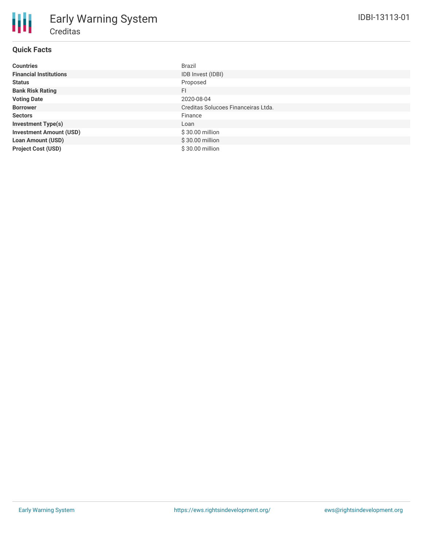| Countries                      | Brazil                              |
|--------------------------------|-------------------------------------|
| <b>Financial Institutions</b>  | IDB Invest (IDBI)                   |
| Status                         | Proposed                            |
| <b>Bank Risk Rating</b>        | FI                                  |
| <b>Voting Date</b>             | 2020-08-04                          |
| <b>Borrower</b>                | Creditas Solucoes Financeiras Ltda. |
| Sectors                        | Finance                             |
| <b>Investment Type(s)</b>      | Loan                                |
| <b>Investment Amount (USD)</b> | \$30.00 million                     |
| <b>Loan Amount (USD)</b>       | \$30.00 million                     |
| <b>Project Cost (USD)</b>      | \$30.00 million                     |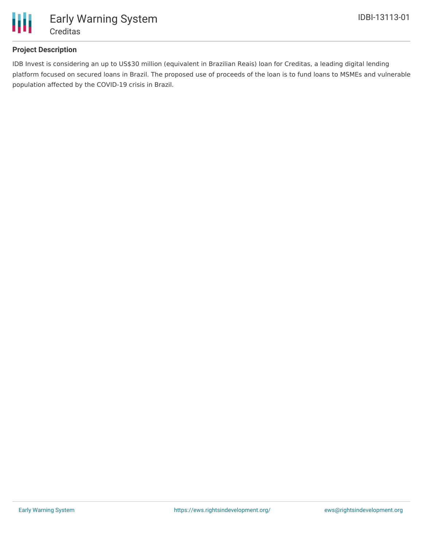

# **Project Description**

IDB Invest is considering an up to US\$30 million (equivalent in Brazilian Reais) loan for Creditas, a leading digital lending platform focused on secured loans in Brazil. The proposed use of proceeds of the loan is to fund loans to MSMEs and vulnerable population affected by the COVID-19 crisis in Brazil.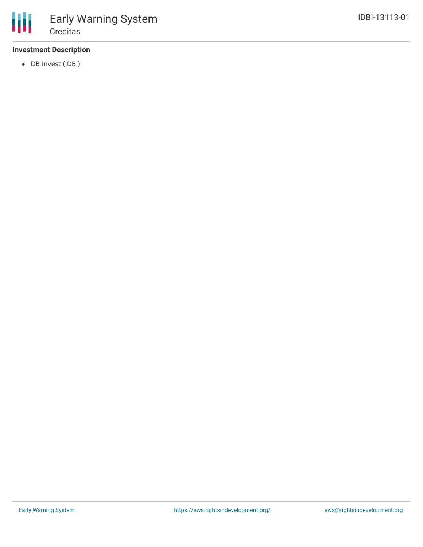# **Investment Description**

• IDB Invest (IDBI)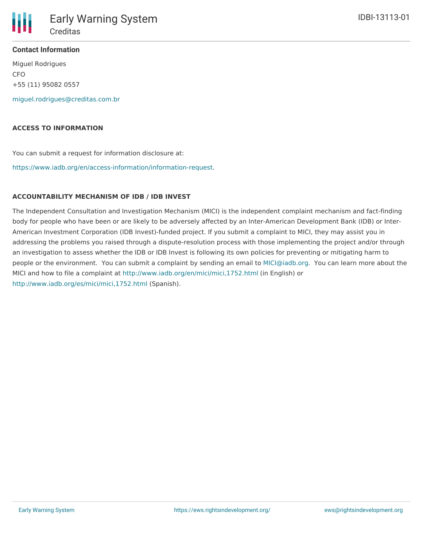

Miguel Rodrigues CFO +55 (11) 95082 0557

[miguel.rodrigues@creditas.com.br](mailto:miguel.rodrigues@creditas.com.br)

#### **ACCESS TO INFORMATION**

You can submit a request for information disclosure at:

[https://www.iadb.org/en/access-information/information-request.](https://www.iadb.org/en/access-information/information-request)

### **ACCOUNTABILITY MECHANISM OF IDB / IDB INVEST**

The Independent Consultation and Investigation Mechanism (MICI) is the independent complaint mechanism and fact-finding body for people who have been or are likely to be adversely affected by an Inter-American Development Bank (IDB) or Inter-American Investment Corporation (IDB Invest)-funded project. If you submit a complaint to MICI, they may assist you in addressing the problems you raised through a dispute-resolution process with those implementing the project and/or through an investigation to assess whether the IDB or IDB Invest is following its own policies for preventing or mitigating harm to people or the environment. You can submit a complaint by sending an email to [MICI@iadb.org](mailto:MICI@iadb.org). You can learn more about the MICI and how to file a complaint at <http://www.iadb.org/en/mici/mici,1752.html> (in English) or <http://www.iadb.org/es/mici/mici,1752.html> (Spanish).